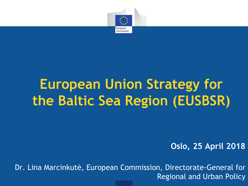

# **European Union Strategy for the Baltic Sea Region (EUSBSR)**

**Oslo, 25 April 2018**

Dr. Lina Marcinkutė, European Commission, Directorate-General for Regional and Urban Policy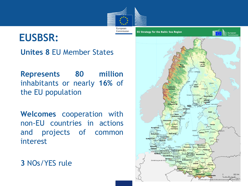

# **EUSBSR:**

• **Unites 8** EU Member States

• **Represents 80 million** inhabitants or nearly **16%** of the EU population

• **Welcomes** cooperation with non-EU countries in actions and projects of common interest

• **3** NOs/YES rule

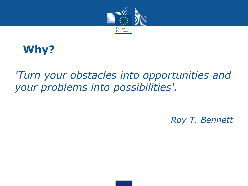

# **Why?**

### *'Turn your obstacles into opportunities and your problems into possibilities'.*

### *Roy T. Bennett*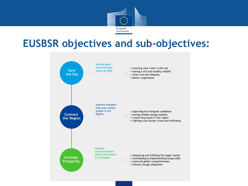

### **EUSBSR objectives and sub-objectives:**

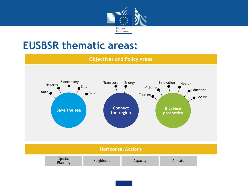

### **EUSBSR thematic areas:**

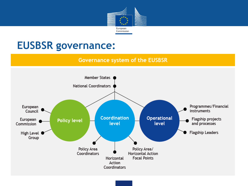

### **EUSBSR governance:**

#### **Governance system of the EUSBSR**

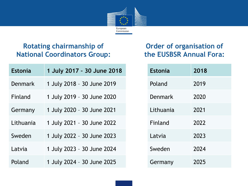

### **Rotating chairmanship of National Coordinators Group:**

| <b>Estonia</b> | 1 July 2017 - 30 June 2018 |
|----------------|----------------------------|
| Denmark        | 1 July 2018 - 30 June 2019 |
| Finland        | 1 July 2019 - 30 June 2020 |
| Germany        | 1 July 2020 - 30 June 2021 |
| Lithuania      | 1 July 2021 - 30 June 2022 |
| Sweden         | 1 July 2022 - 30 June 2023 |
| Latvia         | 1 July 2023 - 30 June 2024 |
| Poland         | 1 July 2024 - 30 June 2025 |

### **Order of organisation of the EUSBSR Annual Fora:**

| <b>Estonia</b> | 2018 |
|----------------|------|
| Poland         | 2019 |
| Denmark        | 2020 |
| Lithuania      | 2021 |
| Finland        | 2022 |
| Latvia         | 2023 |
| Sweden         | 2024 |
| Germany        | 2025 |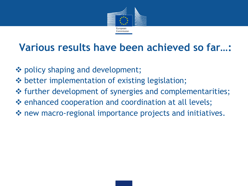

# **Various results have been achieved so far…:**

- ❖ policy shaping and development;
- $\dots$  better implementation of existing legislation;
- ❖ further development of synergies and complementarities;
- enhanced cooperation and coordination at all levels;
- $\dots$  **new macro-regional importance projects and initiatives.**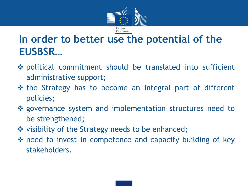

# **In order to better use the potential of the EUSBSR…**

- political commitment should be translated into sufficient administrative support;
- $\triangle$  the Strategy has to become an integral part of different policies;
- governance system and implementation structures need to be strengthened;
- ❖ visibility of the Strategy needs to be enhanced;
- **\*** need to invest in competence and capacity building of key stakeholders.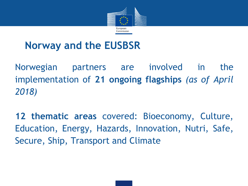

## **Norway and the EUSBSR**

Norwegian partners are involved in the implementation of **21 ongoing flagships** *(as of April 2018)*

**12 thematic areas** covered: Bioeconomy, Culture, Education, Energy, Hazards, Innovation, Nutri, Safe, Secure, Ship, Transport and Climate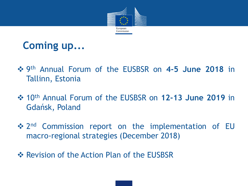



- 9 th Annual Forum of the EUSBSR on **4-5 June 2018** in Tallinn, Estonia
- 10th Annual Forum of the EUSBSR on **12-13 June 2019** in Gdańsk, Poland
- ❖ 2<sup>nd</sup> Commission report on the implementation of EU macro-regional strategies (December 2018)
- **EXA Revision of the Action Plan of the EUSBSR**